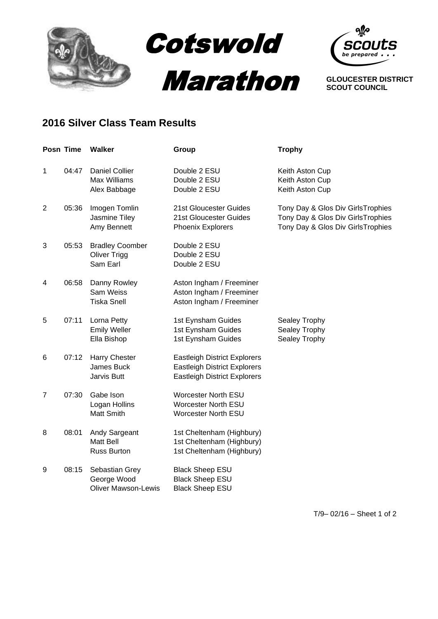



**GLOUCESTER DISTRICT SCOUT COUNCIL**

## **2016 Silver Class Team Results**

|                | <b>Posn Time</b> | <b>Walker</b>                                                | Group                                                                                                             | <b>Trophy</b>                                                                                               |
|----------------|------------------|--------------------------------------------------------------|-------------------------------------------------------------------------------------------------------------------|-------------------------------------------------------------------------------------------------------------|
| 1              | 04:47            | <b>Daniel Collier</b><br><b>Max Williams</b><br>Alex Babbage | Double 2 ESU<br>Double 2 ESU<br>Double 2 ESU                                                                      | Keith Aston Cup<br>Keith Aston Cup<br>Keith Aston Cup                                                       |
| $\overline{2}$ | 05:36            | Imogen Tomlin<br>Jasmine Tiley<br>Amy Bennett                | 21st Gloucester Guides<br>21st Gloucester Guides<br><b>Phoenix Explorers</b>                                      | Tony Day & Glos Div GirlsTrophies<br>Tony Day & Glos Div GirlsTrophies<br>Tony Day & Glos Div GirlsTrophies |
| 3              | 05:53            | <b>Bradley Coomber</b><br><b>Oliver Trigg</b><br>Sam Earl    | Double 2 ESU<br>Double 2 ESU<br>Double 2 ESU                                                                      |                                                                                                             |
| 4              | 06:58            | Danny Rowley<br>Sam Weiss<br><b>Tiska Snell</b>              | Aston Ingham / Freeminer<br>Aston Ingham / Freeminer<br>Aston Ingham / Freeminer                                  |                                                                                                             |
| 5              | 07:11            | Lorna Petty<br><b>Emily Weller</b><br>Ella Bishop            | 1st Eynsham Guides<br>1st Eynsham Guides<br>1st Eynsham Guides                                                    | Sealey Trophy<br>Sealey Trophy<br>Sealey Trophy                                                             |
| 6              | 07:12            | Harry Chester<br>James Buck<br>Jarvis Butt                   | <b>Eastleigh District Explorers</b><br><b>Eastleigh District Explorers</b><br><b>Eastleigh District Explorers</b> |                                                                                                             |
| 7              | 07:30            | Gabe Ison<br>Logan Hollins<br>Matt Smith                     | <b>Worcester North ESU</b><br><b>Worcester North ESU</b><br><b>Worcester North ESU</b>                            |                                                                                                             |
| 8              | 08:01            | Andy Sargeant<br>Matt Bell<br><b>Russ Burton</b>             | 1st Cheltenham (Highbury)<br>1st Cheltenham (Highbury)<br>1st Cheltenham (Highbury)                               |                                                                                                             |
| 9              | 08:15            | Sebastian Grey<br>George Wood<br><b>Oliver Mawson-Lewis</b>  | <b>Black Sheep ESU</b><br><b>Black Sheep ESU</b><br><b>Black Sheep ESU</b>                                        |                                                                                                             |

T/9– 02/16 – Sheet 1 of 2